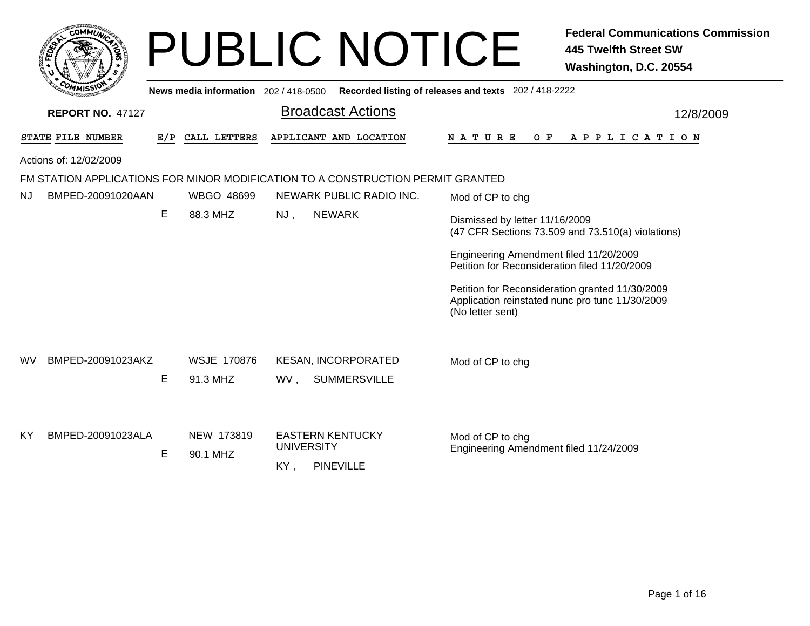| сомміл                                                                          |   |                                |     | <b>PUBLIC NOTICE</b>                              |                                                                                                                        | <b>Federal Communications Commission</b><br><b>445 Twelfth Street SW</b><br>Washington, D.C. 20554 |
|---------------------------------------------------------------------------------|---|--------------------------------|-----|---------------------------------------------------|------------------------------------------------------------------------------------------------------------------------|----------------------------------------------------------------------------------------------------|
|                                                                                 |   |                                |     |                                                   | News media information 202 / 418-0500 Recorded listing of releases and texts 202 / 418-2222                            |                                                                                                    |
| <b>REPORT NO. 47127</b>                                                         |   |                                |     | <b>Broadcast Actions</b>                          |                                                                                                                        | 12/8/2009                                                                                          |
| STATE FILE NUMBER                                                               |   | E/P CALL LETTERS               |     | APPLICANT AND LOCATION                            | N A T U R E<br>O F                                                                                                     | A P P L I C A T I O N                                                                              |
| Actions of: 12/02/2009                                                          |   |                                |     |                                                   |                                                                                                                        |                                                                                                    |
| FM STATION APPLICATIONS FOR MINOR MODIFICATION TO A CONSTRUCTION PERMIT GRANTED |   |                                |     |                                                   |                                                                                                                        |                                                                                                    |
| BMPED-20091020AAN<br>NJ                                                         |   | WBGO 48699                     |     | NEWARK PUBLIC RADIO INC.                          | Mod of CP to chg                                                                                                       |                                                                                                    |
|                                                                                 | Е | 88.3 MHZ                       | NJ, | <b>NEWARK</b>                                     | Dismissed by letter 11/16/2009                                                                                         | (47 CFR Sections 73.509 and 73.510(a) violations)                                                  |
|                                                                                 |   |                                |     |                                                   | Engineering Amendment filed 11/20/2009<br>Petition for Reconsideration filed 11/20/2009                                |                                                                                                    |
|                                                                                 |   |                                |     |                                                   | Petition for Reconsideration granted 11/30/2009<br>Application reinstated nunc pro tunc 11/30/2009<br>(No letter sent) |                                                                                                    |
| BMPED-20091023AKZ<br><b>WV</b>                                                  | E | <b>WSJE 170876</b><br>91.3 MHZ | WV, | <b>KESAN, INCORPORATED</b><br><b>SUMMERSVILLE</b> | Mod of CP to chg                                                                                                       |                                                                                                    |
| BMPED-20091023ALA<br>ΚY                                                         | Е | NEW 173819<br>90.1 MHZ         |     | <b>EASTERN KENTUCKY</b><br><b>UNIVERSITY</b>      | Mod of CP to chg<br>Engineering Amendment filed 11/24/2009                                                             |                                                                                                    |
|                                                                                 |   |                                | KY, | <b>PINEVILLE</b>                                  |                                                                                                                        |                                                                                                    |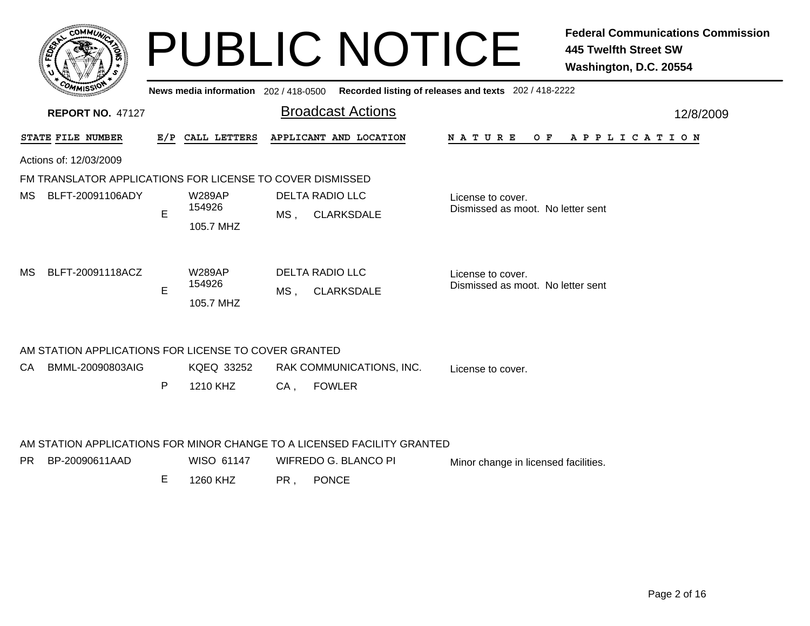|      | <b>COMMUT</b>                                             |     | News media information 202/418-0500  | <b>PUBLIC NOTICE</b>                                                    | <b>Federal Communications Commission</b><br><b>445 Twelfth Street SW</b><br>Washington, D.C. 20554<br>Recorded listing of releases and texts 202 / 418-2222 |
|------|-----------------------------------------------------------|-----|--------------------------------------|-------------------------------------------------------------------------|-------------------------------------------------------------------------------------------------------------------------------------------------------------|
|      | <b>REPORT NO. 47127</b>                                   |     |                                      | <b>Broadcast Actions</b>                                                | 12/8/2009                                                                                                                                                   |
|      | STATE FILE NUMBER                                         | E/P | CALL LETTERS                         | APPLICANT AND LOCATION                                                  | N A T U R E<br>O F<br>A P P L I C A T I O N                                                                                                                 |
|      | Actions of: 12/03/2009                                    |     |                                      |                                                                         |                                                                                                                                                             |
|      | FM TRANSLATOR APPLICATIONS FOR LICENSE TO COVER DISMISSED |     |                                      |                                                                         |                                                                                                                                                             |
| MS.  | BLFT-20091106ADY                                          | E   | <b>W289AP</b><br>154926<br>105.7 MHZ | <b>DELTA RADIO LLC</b><br><b>CLARKSDALE</b><br>MS ,                     | License to cover.<br>Dismissed as moot. No letter sent                                                                                                      |
| МS   | BLFT-20091118ACZ                                          | E   | <b>W289AP</b><br>154926<br>105.7 MHZ | <b>DELTA RADIO LLC</b><br><b>CLARKSDALE</b><br>MS ,                     | License to cover.<br>Dismissed as moot. No letter sent                                                                                                      |
|      | AM STATION APPLICATIONS FOR LICENSE TO COVER GRANTED      |     |                                      |                                                                         |                                                                                                                                                             |
| СA   | BMML-20090803AIG                                          |     | KQEQ 33252                           | RAK COMMUNICATIONS, INC.                                                | License to cover.                                                                                                                                           |
|      |                                                           | P   | 1210 KHZ                             | <b>FOWLER</b><br>CA,                                                    |                                                                                                                                                             |
|      |                                                           |     |                                      | AM STATION APPLICATIONS FOR MINOR CHANGE TO A LICENSED FACILITY GRANTED |                                                                                                                                                             |
| PR - | BP-20090611AAD                                            |     | WISO 61147                           | WIFREDO G. BLANCO PI                                                    | Minor change in licensed facilities.                                                                                                                        |

E 1260 KHZPR , PONCE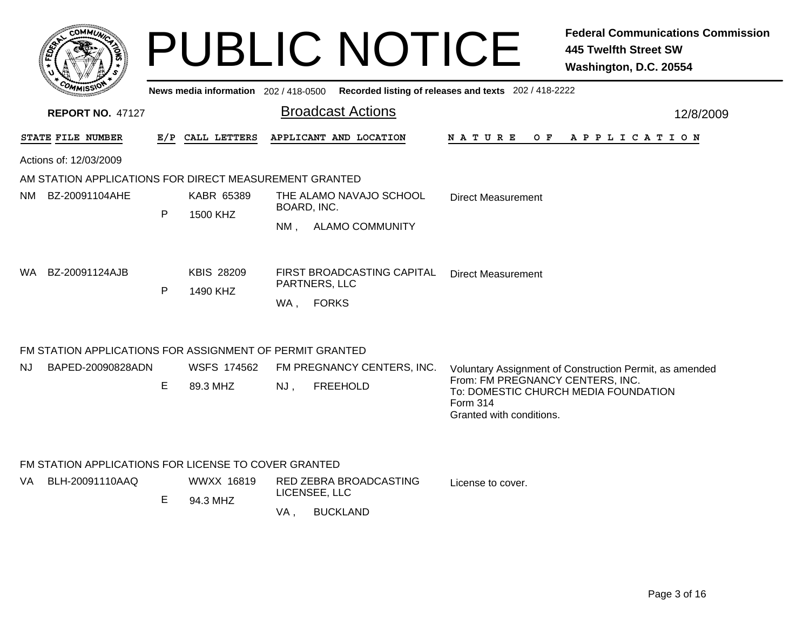|                                                          |     |                                       | <b>PUBLIC NOTICE</b>                         | <b>Federal Communications Commission</b><br><b>445 Twelfth Street SW</b><br>Washington, D.C. 20554 |
|----------------------------------------------------------|-----|---------------------------------------|----------------------------------------------|----------------------------------------------------------------------------------------------------|
|                                                          |     | News media information 202 / 418-0500 | <b>Broadcast Actions</b>                     | Recorded listing of releases and texts 202 / 418-2222                                              |
| <b>REPORT NO. 47127</b>                                  |     |                                       |                                              | 12/8/2009                                                                                          |
| <b>STATE FILE NUMBER</b>                                 | E/P | CALL LETTERS                          | APPLICANT AND LOCATION                       | N A T U R E<br>O F<br>A P P L I C A T I O N                                                        |
| Actions of: 12/03/2009                                   |     |                                       |                                              |                                                                                                    |
| AM STATION APPLICATIONS FOR DIRECT MEASUREMENT GRANTED   |     |                                       |                                              |                                                                                                    |
| BZ-20091104AHE<br>NM.                                    |     | KABR 65389                            | THE ALAMO NAVAJO SCHOOL                      | Direct Measurement                                                                                 |
|                                                          | P   | 1500 KHZ                              | BOARD, INC.<br><b>ALAMO COMMUNITY</b><br>NM. |                                                                                                    |
| BZ-20091124AJB<br>WA.                                    | P   | <b>KBIS 28209</b><br>1490 KHZ         | FIRST BROADCASTING CAPITAL<br>PARTNERS, LLC  | <b>Direct Measurement</b>                                                                          |
|                                                          |     |                                       | <b>FORKS</b><br>WA.                          |                                                                                                    |
| FM STATION APPLICATIONS FOR ASSIGNMENT OF PERMIT GRANTED |     |                                       |                                              |                                                                                                    |
| BAPED-20090828ADN<br>NJ                                  |     | WSFS 174562                           | FM PREGNANCY CENTERS, INC.                   | Voluntary Assignment of Construction Permit, as amended<br>From: FM PREGNANCY CENTERS, INC.        |
|                                                          | E.  | 89.3 MHZ                              | <b>FREEHOLD</b><br>NJ,                       | To: DOMESTIC CHURCH MEDIA FOUNDATION<br><b>Form 314</b><br>Granted with conditions.                |
| FM STATION APPLICATIONS FOR LICENSE TO COVER GRANTED     |     |                                       |                                              |                                                                                                    |

| VA | BLH-20091110AAQ | WWXX 16819<br>94.3 MHZ |    | RED ZEBRA BROADCASTING<br>LICENSEE, LLC | License to cover. |
|----|-----------------|------------------------|----|-----------------------------------------|-------------------|
|    |                 |                        | VA | <b>BUCKLAND</b>                         |                   |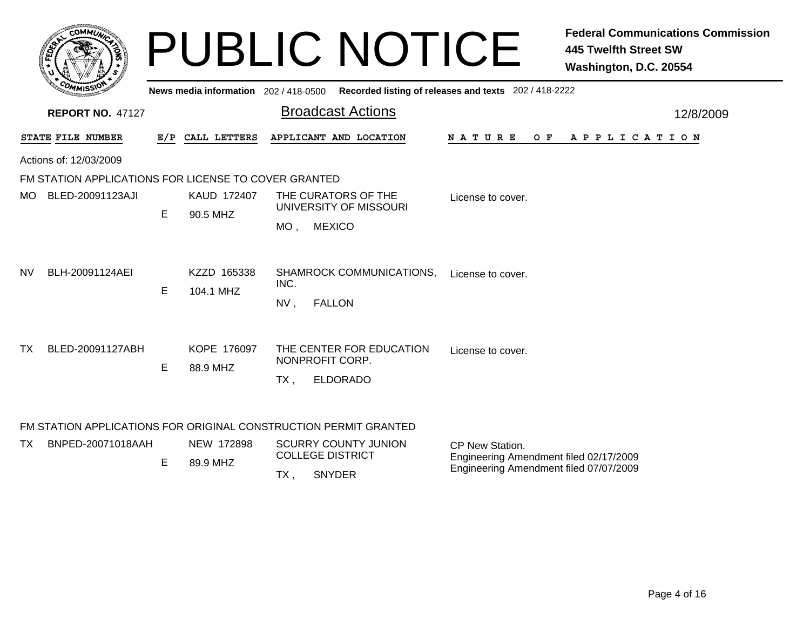| <b>COMMUT</b>                                        |     |                                       | <b>PUBLIC NOTICE</b>                                                            |                                                                                                     | <b>Federal Communications Commission</b><br><b>445 Twelfth Street SW</b><br>Washington, D.C. 20554 |
|------------------------------------------------------|-----|---------------------------------------|---------------------------------------------------------------------------------|-----------------------------------------------------------------------------------------------------|----------------------------------------------------------------------------------------------------|
|                                                      |     | News media information 202 / 418-0500 |                                                                                 | Recorded listing of releases and texts 202 / 418-2222                                               |                                                                                                    |
| <b>REPORT NO. 47127</b>                              |     |                                       | <b>Broadcast Actions</b>                                                        |                                                                                                     | 12/8/2009                                                                                          |
| STATE FILE NUMBER                                    | E/P | CALL LETTERS                          | APPLICANT AND LOCATION                                                          | N A T U R E<br>O F                                                                                  | A P P L I C A T I O N                                                                              |
| Actions of: 12/03/2009                               |     |                                       |                                                                                 |                                                                                                     |                                                                                                    |
| FM STATION APPLICATIONS FOR LICENSE TO COVER GRANTED |     |                                       |                                                                                 |                                                                                                     |                                                                                                    |
| MO BLED-20091123AJI                                  | E   | KAUD 172407<br>90.5 MHZ               | THE CURATORS OF THE<br>UNIVERSITY OF MISSOURI<br><b>MEXICO</b><br>MO ,          | License to cover.                                                                                   |                                                                                                    |
| NV<br>BLH-20091124AEI                                | E.  | KZZD 165338<br>104.1 MHZ              | SHAMROCK COMMUNICATIONS,<br>INC.<br><b>FALLON</b><br>NV,                        | License to cover.                                                                                   |                                                                                                    |
| ТX<br>BLED-20091127ABH                               | Е   | KOPE 176097<br>88.9 MHZ               | THE CENTER FOR EDUCATION<br>NONPROFIT CORP.<br><b>ELDORADO</b><br>$TX$ ,        | License to cover.                                                                                   |                                                                                                    |
|                                                      |     |                                       | FM STATION APPLICATIONS FOR ORIGINAL CONSTRUCTION PERMIT GRANTED                |                                                                                                     |                                                                                                    |
| BNPED-20071018AAH<br>TX.                             | E   | NEW 172898<br>89.9 MHZ                | <b>SCURRY COUNTY JUNION</b><br><b>COLLEGE DISTRICT</b><br><b>SNYDER</b><br>TX , | CP New Station.<br>Engineering Amendment filed 02/17/2009<br>Engineering Amendment filed 07/07/2009 |                                                                                                    |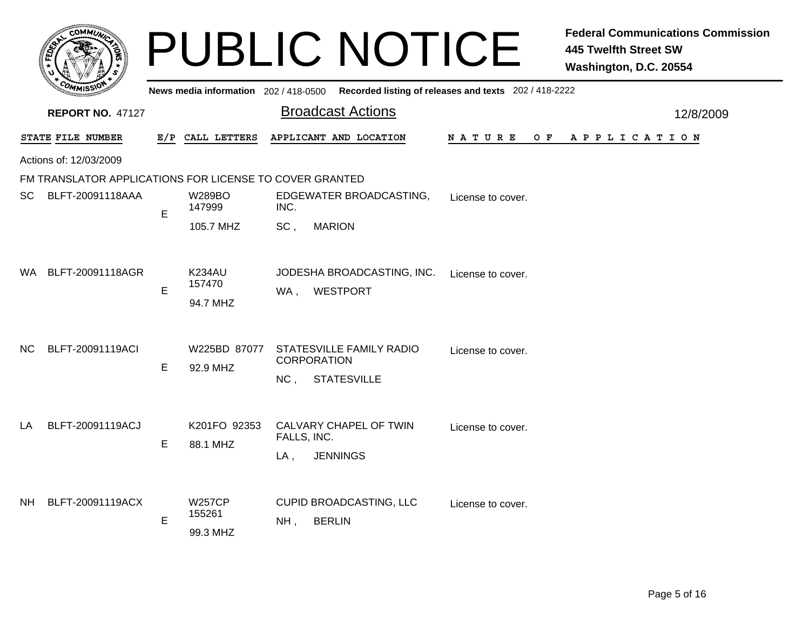|      |                                                         |             |                                     | <b>PUBLIC NOTICE</b>                                                                        |                    | <b>Federal Communications Commission</b><br><b>445 Twelfth Street SW</b><br>Washington, D.C. 20554 |
|------|---------------------------------------------------------|-------------|-------------------------------------|---------------------------------------------------------------------------------------------|--------------------|----------------------------------------------------------------------------------------------------|
|      |                                                         |             |                                     | News media information 202 / 418-0500 Recorded listing of releases and texts 202 / 418-2222 |                    |                                                                                                    |
|      | <b>REPORT NO. 47127</b>                                 |             |                                     | <b>Broadcast Actions</b>                                                                    |                    | 12/8/2009                                                                                          |
|      | STATE FILE NUMBER                                       |             | E/P CALL LETTERS                    | APPLICANT AND LOCATION                                                                      | N A T U R E<br>O F | A P P L I C A T I O N                                                                              |
|      | Actions of: 12/03/2009                                  |             |                                     |                                                                                             |                    |                                                                                                    |
|      | FM TRANSLATOR APPLICATIONS FOR LICENSE TO COVER GRANTED |             |                                     |                                                                                             |                    |                                                                                                    |
| SC.  | BLFT-20091118AAA                                        | Е           | W289BO<br>147999                    | EDGEWATER BROADCASTING,<br>INC.                                                             | License to cover.  |                                                                                                    |
|      |                                                         |             | 105.7 MHZ                           | SC,<br><b>MARION</b>                                                                        |                    |                                                                                                    |
| WA . | BLFT-20091118AGR                                        | $\mathsf E$ | K234AU<br>157470<br>94.7 MHZ        | JODESHA BROADCASTING, INC.<br>WA, WESTPORT                                                  | License to cover.  |                                                                                                    |
| NC.  | BLFT-20091119ACI                                        | E           | W225BD 87077<br>92.9 MHZ            | STATESVILLE FAMILY RADIO<br><b>CORPORATION</b><br><b>STATESVILLE</b><br>NC <sub>1</sub>     | License to cover.  |                                                                                                    |
| LA   | BLFT-20091119ACJ                                        | Е           | K201FO 92353<br>88.1 MHZ            | CALVARY CHAPEL OF TWIN<br>FALLS, INC.<br><b>JENNINGS</b><br>$LA$ ,                          | License to cover.  |                                                                                                    |
| NH.  | BLFT-20091119ACX                                        | E           | <b>W257CP</b><br>155261<br>99.3 MHZ | CUPID BROADCASTING, LLC<br><b>BERLIN</b><br>NH,                                             | License to cover.  |                                                                                                    |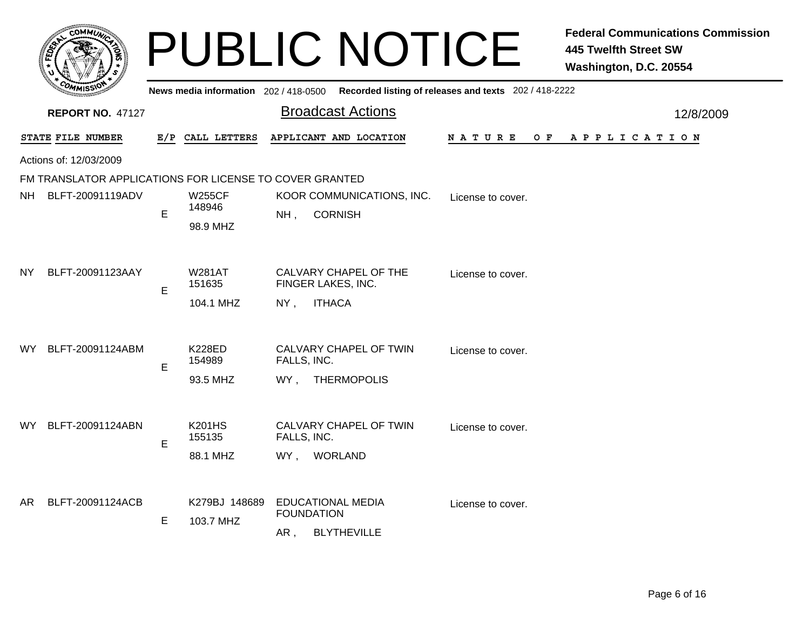|     |                                                         |     |                                      | <b>PUBLIC NOTICE</b>                                                                    |                    | <b>Federal Communications Commission</b><br><b>445 Twelfth Street SW</b><br>Washington, D.C. 20554 |
|-----|---------------------------------------------------------|-----|--------------------------------------|-----------------------------------------------------------------------------------------|--------------------|----------------------------------------------------------------------------------------------------|
|     |                                                         |     |                                      | News media information 202/418-0500 Recorded listing of releases and texts 202/418-2222 |                    |                                                                                                    |
|     | <b>REPORT NO. 47127</b>                                 |     |                                      | <b>Broadcast Actions</b>                                                                |                    | 12/8/2009                                                                                          |
|     | STATE FILE NUMBER                                       | E/P | CALL LETTERS                         | APPLICANT AND LOCATION                                                                  | N A T U R E<br>O F | A P P L I C A T I O N                                                                              |
|     | Actions of: 12/03/2009                                  |     |                                      |                                                                                         |                    |                                                                                                    |
|     | FM TRANSLATOR APPLICATIONS FOR LICENSE TO COVER GRANTED |     |                                      |                                                                                         |                    |                                                                                                    |
| NH  | BLFT-20091119ADV                                        | E   | <b>W255CF</b><br>148946<br>98.9 MHZ  | KOOR COMMUNICATIONS, INC.<br><b>CORNISH</b><br>NH,                                      | License to cover.  |                                                                                                    |
| NY  | BLFT-20091123AAY                                        | E   | <b>W281AT</b><br>151635<br>104.1 MHZ | CALVARY CHAPEL OF THE<br>FINGER LAKES, INC.<br><b>ITHACA</b><br>$NY$ ,                  | License to cover.  |                                                                                                    |
| WY  | BLFT-20091124ABM                                        | E   | <b>K228ED</b><br>154989<br>93.5 MHZ  | CALVARY CHAPEL OF TWIN<br>FALLS, INC.<br><b>THERMOPOLIS</b><br>WY.                      | License to cover.  |                                                                                                    |
| WY. | BLFT-20091124ABN                                        | E   | <b>K201HS</b><br>155135<br>88.1 MHZ  | CALVARY CHAPEL OF TWIN<br>FALLS, INC.<br><b>WORLAND</b><br>WY,                          | License to cover.  |                                                                                                    |
| AR  | BLFT-20091124ACB                                        | E   | K279BJ 148689<br>103.7 MHZ           | <b>EDUCATIONAL MEDIA</b><br><b>FOUNDATION</b><br>AR,<br><b>BLYTHEVILLE</b>              | License to cover.  |                                                                                                    |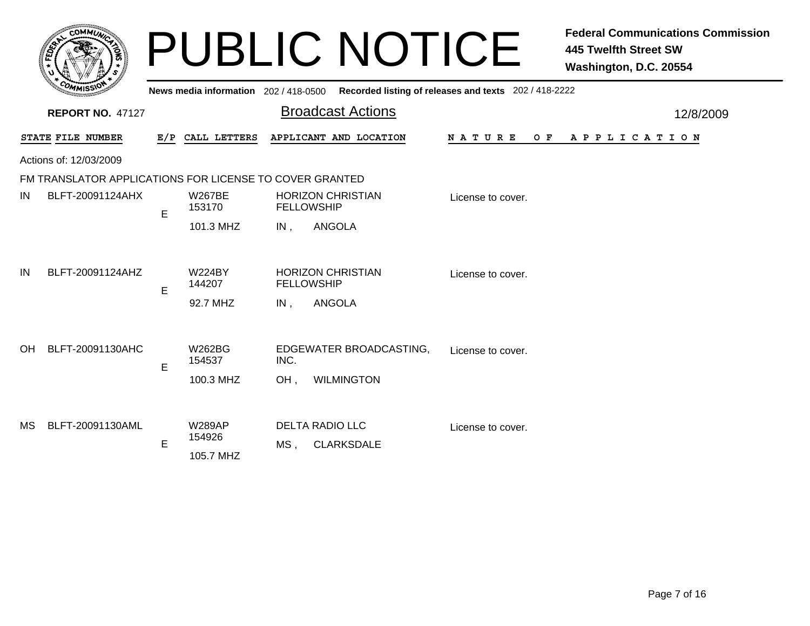|                   | <b>MMUNICY</b><br><b>COI</b> |        |
|-------------------|------------------------------|--------|
| FED <sub>EY</sub> |                              | 2<br>步 |
|                   |                              |        |
| Cor               | n<br>MMISS\                  |        |

|                        | <b>MMISS</b>                                            |                         |                                               |                                 | News media information 202 / 418-0500 Recorded listing of releases and texts 202 / 418-2222 |           |
|------------------------|---------------------------------------------------------|-------------------------|-----------------------------------------------|---------------------------------|---------------------------------------------------------------------------------------------|-----------|
|                        | <b>REPORT NO. 47127</b>                                 |                         |                                               | <b>Broadcast Actions</b>        |                                                                                             | 12/8/2009 |
|                        | STATE FILE NUMBER                                       |                         | E/P CALL LETTERS                              | APPLICANT AND LOCATION          | <b>NATURE</b><br>$O$ $F$<br>A P P L I C A T I O N                                           |           |
|                        | Actions of: 12/03/2009                                  |                         |                                               |                                 |                                                                                             |           |
|                        | FM TRANSLATOR APPLICATIONS FOR LICENSE TO COVER GRANTED |                         |                                               |                                 |                                                                                             |           |
| IN<br>BLFT-20091124AHX | E                                                       | <b>W267BE</b><br>153170 | <b>HORIZON CHRISTIAN</b><br><b>FELLOWSHIP</b> | License to cover.               |                                                                                             |           |
|                        |                                                         |                         | 101.3 MHZ                                     | ANGOLA<br>$IN$ ,                |                                                                                             |           |
| IN<br>BLFT-20091124AHZ | E                                                       | <b>W224BY</b><br>144207 | <b>HORIZON CHRISTIAN</b><br><b>FELLOWSHIP</b> | License to cover.               |                                                                                             |           |
|                        |                                                         |                         | 92.7 MHZ                                      | ANGOLA<br>IN,                   |                                                                                             |           |
| <b>OH</b>              | BLFT-20091130AHC                                        | E                       | W262BG<br>154537                              | EDGEWATER BROADCASTING,<br>INC. | License to cover.                                                                           |           |
|                        |                                                         |                         | 100.3 MHZ                                     | <b>WILMINGTON</b><br>OH,        |                                                                                             |           |
| MS                     | BLFT-20091130AML                                        | E                       | <b>W289AP</b><br>154926                       | <b>DELTA RADIO LLC</b>          | License to cover.                                                                           |           |
|                        |                                                         |                         | 105.7 MHZ                                     | MS.<br><b>CLARKSDALE</b>        |                                                                                             |           |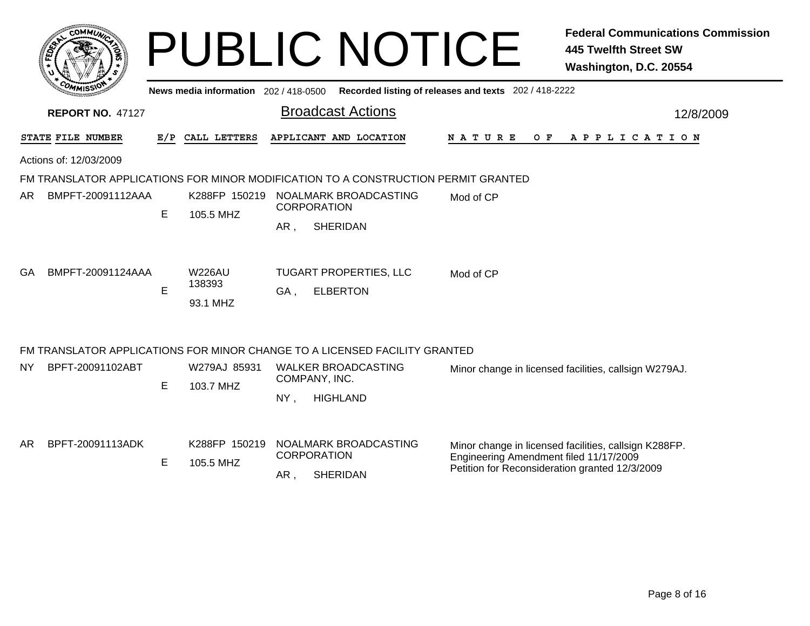|     |                         |    |                                     | <b>PUBLIC NOTICE</b>                                                               |                                                                                          | <b>Federal Communications Commission</b><br><b>445 Twelfth Street SW</b><br>Washington, D.C. 20554 |
|-----|-------------------------|----|-------------------------------------|------------------------------------------------------------------------------------|------------------------------------------------------------------------------------------|----------------------------------------------------------------------------------------------------|
|     |                         |    | News media information 202/418-0500 |                                                                                    | Recorded listing of releases and texts 202 / 418-2222                                    |                                                                                                    |
|     | <b>REPORT NO. 47127</b> |    |                                     | <b>Broadcast Actions</b>                                                           |                                                                                          | 12/8/2009                                                                                          |
|     | STATE FILE NUMBER       |    | E/P CALL LETTERS                    | APPLICANT AND LOCATION                                                             | N A T U R E                                                                              | OF APPLICATION                                                                                     |
|     | Actions of: 12/03/2009  |    |                                     |                                                                                    |                                                                                          |                                                                                                    |
|     |                         |    |                                     | FM TRANSLATOR APPLICATIONS FOR MINOR MODIFICATION TO A CONSTRUCTION PERMIT GRANTED |                                                                                          |                                                                                                    |
| AR. | BMPFT-20091112AAA       | E  | K288FP 150219<br>105.5 MHZ          | NOALMARK BROADCASTING<br><b>CORPORATION</b>                                        |                                                                                          |                                                                                                    |
|     |                         |    |                                     | <b>SHERIDAN</b><br>AR,                                                             |                                                                                          |                                                                                                    |
| GA. | BMPFT-20091124AAA       | E  | <b>W226AU</b><br>138393<br>93.1 MHZ | TUGART PROPERTIES, LLC<br><b>ELBERTON</b><br>GA,                                   | Mod of CP                                                                                |                                                                                                    |
|     |                         |    |                                     | FM TRANSLATOR APPLICATIONS FOR MINOR CHANGE TO A LICENSED FACILITY GRANTED         |                                                                                          |                                                                                                    |
| NY. | BPFT-20091102ABT        | E. | W279AJ 85931<br>103.7 MHZ           | <b>WALKER BROADCASTING</b><br>COMPANY, INC.                                        |                                                                                          | Minor change in licensed facilities, callsign W279AJ.                                              |
|     |                         |    |                                     | $NY$ ,<br><b>HIGHLAND</b>                                                          |                                                                                          |                                                                                                    |
| AR. | BPFT-20091113ADK        | E  | K288FP 150219<br>105.5 MHZ          | NOALMARK BROADCASTING<br><b>CORPORATION</b><br><b>SHERIDAN</b><br>AR,              | Engineering Amendment filed 11/17/2009<br>Petition for Reconsideration granted 12/3/2009 | Minor change in licensed facilities, callsign K288FP.                                              |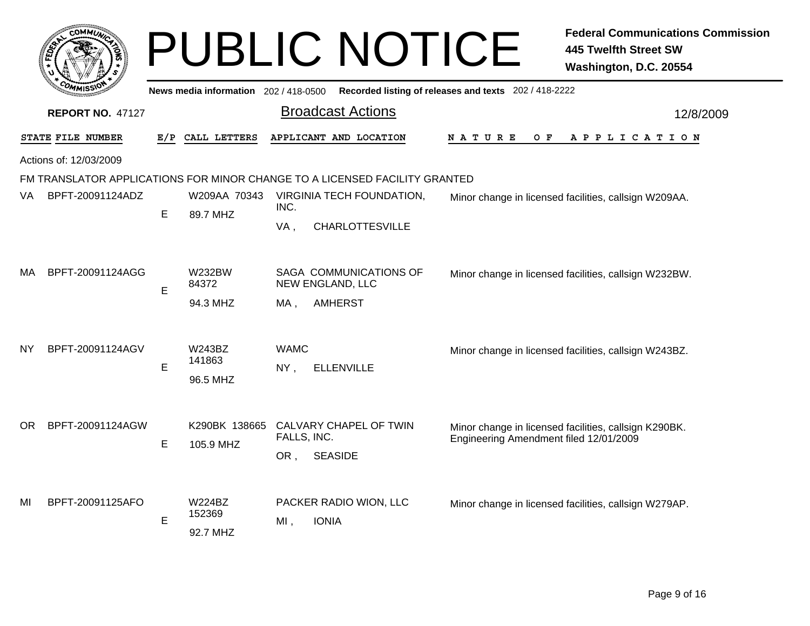|     |                         |    |                                     |                    | <b>PUBLIC NOTICE</b>                                                       |                                                       | <b>Federal Communications Commission</b><br><b>445 Twelfth Street SW</b><br>Washington, D.C. 20554 |
|-----|-------------------------|----|-------------------------------------|--------------------|----------------------------------------------------------------------------|-------------------------------------------------------|----------------------------------------------------------------------------------------------------|
|     |                         |    | News media information 202/418-0500 |                    |                                                                            | Recorded listing of releases and texts 202 / 418-2222 |                                                                                                    |
|     | <b>REPORT NO. 47127</b> |    |                                     |                    | <b>Broadcast Actions</b>                                                   |                                                       | 12/8/2009                                                                                          |
|     | STATE FILE NUMBER       |    | E/P CALL LETTERS                    |                    | APPLICANT AND LOCATION                                                     | O F<br>N A T U R E                                    | APPLICATION                                                                                        |
|     | Actions of: 12/03/2009  |    |                                     |                    |                                                                            |                                                       |                                                                                                    |
|     |                         |    |                                     |                    | FM TRANSLATOR APPLICATIONS FOR MINOR CHANGE TO A LICENSED FACILITY GRANTED |                                                       |                                                                                                    |
| VA. | BPFT-20091124ADZ        | Е  | W209AA 70343<br>89.7 MHZ            | INC.               | VIRGINIA TECH FOUNDATION,                                                  |                                                       | Minor change in licensed facilities, callsign W209AA.                                              |
|     |                         |    |                                     | VA,                | <b>CHARLOTTESVILLE</b>                                                     |                                                       |                                                                                                    |
| МA  | BPFT-20091124AGG        | E  | <b>W232BW</b><br>84372<br>94.3 MHZ  | MA,                | SAGA COMMUNICATIONS OF<br>NEW ENGLAND, LLC<br><b>AMHERST</b>               |                                                       | Minor change in licensed facilities, callsign W232BW.                                              |
| NY  | BPFT-20091124AGV        | E. | W243BZ<br>141863<br>96.5 MHZ        | <b>WAMC</b><br>NY, | <b>ELLENVILLE</b>                                                          |                                                       | Minor change in licensed facilities, callsign W243BZ.                                              |
| OR. | BPFT-20091124AGW        | E  | K290BK 138665<br>105.9 MHZ          | FALLS, INC.<br>OR, | CALVARY CHAPEL OF TWIN<br><b>SEASIDE</b>                                   | Engineering Amendment filed 12/01/2009                | Minor change in licensed facilities, callsign K290BK.                                              |
| MI  | BPFT-20091125AFO        | E  | W224BZ<br>152369<br>92.7 MHZ        | $MI$ ,             | PACKER RADIO WION, LLC<br><b>IONIA</b>                                     |                                                       | Minor change in licensed facilities, callsign W279AP.                                              |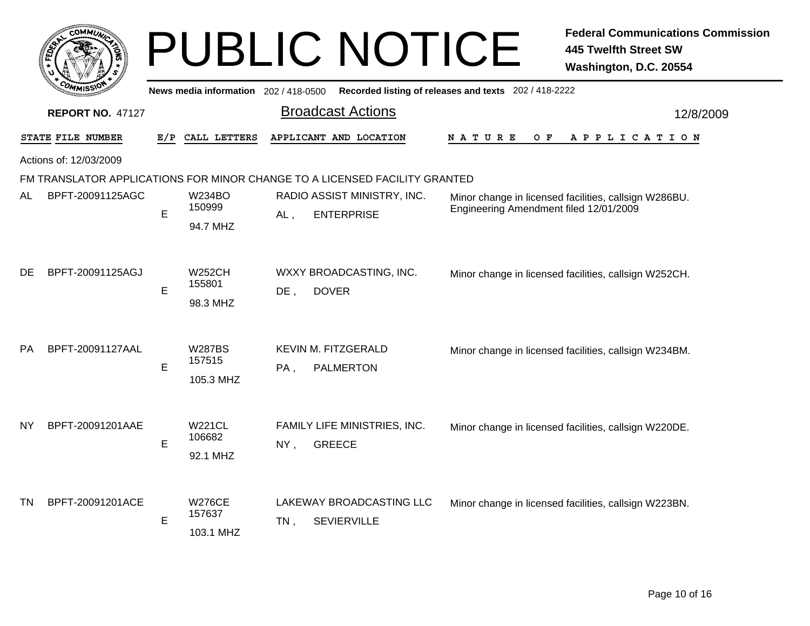|                        | COMMUNICA |
|------------------------|-----------|
| FEDET                  |           |
|                        |           |
| $c_{O_{\textit{M}_1}}$ | MISS      |

|           | <b>COMMISSIO</b>        |     | News media information 202 / 418-0500 |        | Recorded listing of releases and texts 202 / 418-2222                      |                                                                                                 |  |     |                       |  |  |           |
|-----------|-------------------------|-----|---------------------------------------|--------|----------------------------------------------------------------------------|-------------------------------------------------------------------------------------------------|--|-----|-----------------------|--|--|-----------|
|           | <b>REPORT NO. 47127</b> |     |                                       |        | <b>Broadcast Actions</b>                                                   |                                                                                                 |  |     |                       |  |  | 12/8/2009 |
|           | STATE FILE NUMBER       | E/P | CALL LETTERS                          |        | APPLICANT AND LOCATION                                                     | <b>NATURE</b>                                                                                   |  | O F | A P P L I C A T I O N |  |  |           |
|           | Actions of: 12/03/2009  |     |                                       |        |                                                                            |                                                                                                 |  |     |                       |  |  |           |
|           |                         |     |                                       |        | FM TRANSLATOR APPLICATIONS FOR MINOR CHANGE TO A LICENSED FACILITY GRANTED |                                                                                                 |  |     |                       |  |  |           |
| AL        | BPFT-20091125AGC        | E   | <b>W234BO</b><br>150999<br>94.7 MHZ   | $AL$ , | RADIO ASSIST MINISTRY, INC.<br><b>ENTERPRISE</b>                           | Minor change in licensed facilities, callsign W286BU.<br>Engineering Amendment filed 12/01/2009 |  |     |                       |  |  |           |
| DE        | BPFT-20091125AGJ        | E   | <b>W252CH</b><br>155801<br>98.3 MHZ   | $DE$ , | WXXY BROADCASTING, INC.<br><b>DOVER</b>                                    | Minor change in licensed facilities, callsign W252CH.                                           |  |     |                       |  |  |           |
| PA        | BPFT-20091127AAL        | E   | <b>W287BS</b><br>157515<br>105.3 MHZ  | PA,    | <b>KEVIN M. FITZGERALD</b><br><b>PALMERTON</b>                             | Minor change in licensed facilities, callsign W234BM.                                           |  |     |                       |  |  |           |
| <b>NY</b> | BPFT-20091201AAE        | E   | <b>W221CL</b><br>106682<br>92.1 MHZ   | NY,    | FAMILY LIFE MINISTRIES, INC.<br><b>GREECE</b>                              | Minor change in licensed facilities, callsign W220DE.                                           |  |     |                       |  |  |           |
| <b>TN</b> | BPFT-20091201ACE        | E   | <b>W276CE</b><br>157637<br>103.1 MHZ  | $TN$ , | LAKEWAY BROADCASTING LLC<br><b>SEVIERVILLE</b>                             | Minor change in licensed facilities, callsign W223BN.                                           |  |     |                       |  |  |           |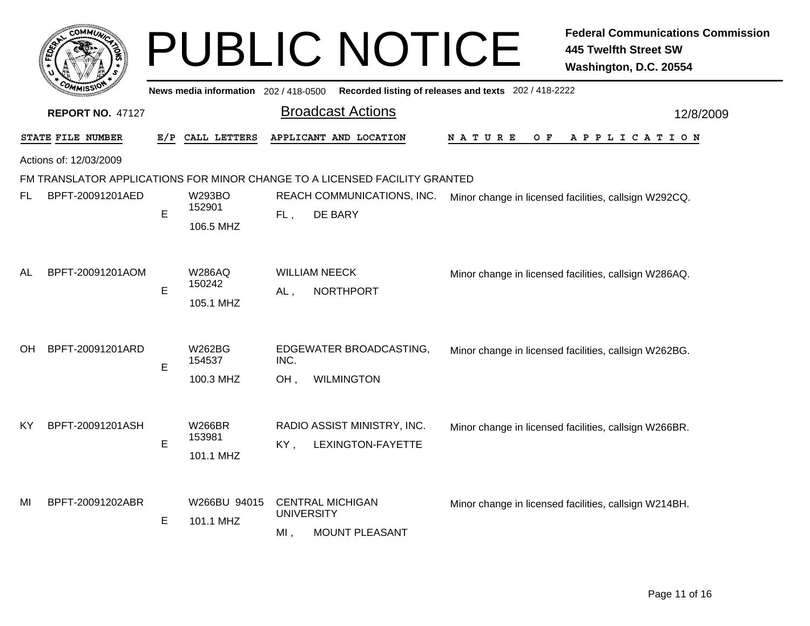|    |                         |     |                                       |                          | <b>PUBLIC NOTICE</b>                                                       |                                                       | <b>Federal Communications Commission</b><br><b>445 Twelfth Street SW</b><br>Washington, D.C. 20554 |
|----|-------------------------|-----|---------------------------------------|--------------------------|----------------------------------------------------------------------------|-------------------------------------------------------|----------------------------------------------------------------------------------------------------|
|    |                         |     | News media information $202/418-0500$ |                          |                                                                            | Recorded listing of releases and texts 202 / 418-2222 |                                                                                                    |
|    | <b>REPORT NO. 47127</b> |     |                                       |                          | <b>Broadcast Actions</b>                                                   |                                                       | 12/8/2009                                                                                          |
|    | STATE FILE NUMBER       | E/P | CALL LETTERS                          |                          | APPLICANT AND LOCATION                                                     | N A T U R E<br>O F                                    | A P P L I C A T I O N                                                                              |
|    | Actions of: 12/03/2009  |     |                                       |                          |                                                                            |                                                       |                                                                                                    |
|    |                         |     |                                       |                          | FM TRANSLATOR APPLICATIONS FOR MINOR CHANGE TO A LICENSED FACILITY GRANTED |                                                       |                                                                                                    |
| FL | BPFT-20091201AED        | E   | <b>W293BO</b><br>152901<br>106.5 MHZ  | FL,                      | REACH COMMUNICATIONS, INC.<br>DE BARY                                      |                                                       | Minor change in licensed facilities, callsign W292CQ.                                              |
| AL | BPFT-20091201AOM        | E   | <b>W286AQ</b><br>150242<br>105.1 MHZ  | $AL$ ,                   | <b>WILLIAM NEECK</b><br><b>NORTHPORT</b>                                   |                                                       | Minor change in licensed facilities, callsign W286AQ.                                              |
| ЮH | BPFT-20091201ARD        | E   | W262BG<br>154537<br>100.3 MHZ         | INC.<br>OH,              | EDGEWATER BROADCASTING,<br><b>WILMINGTON</b>                               |                                                       | Minor change in licensed facilities, callsign W262BG.                                              |
| KY | BPFT-20091201ASH        | E   | W266BR<br>153981<br>101.1 MHZ         | KY,                      | RADIO ASSIST MINISTRY, INC.<br>LEXINGTON-FAYETTE                           |                                                       | Minor change in licensed facilities, callsign W266BR.                                              |
| MI | BPFT-20091202ABR        | Е   | W266BU 94015<br>101.1 MHZ             | <b>UNIVERSITY</b><br>MI, | <b>CENTRAL MICHIGAN</b><br><b>MOUNT PLEASANT</b>                           |                                                       | Minor change in licensed facilities, callsign W214BH.                                              |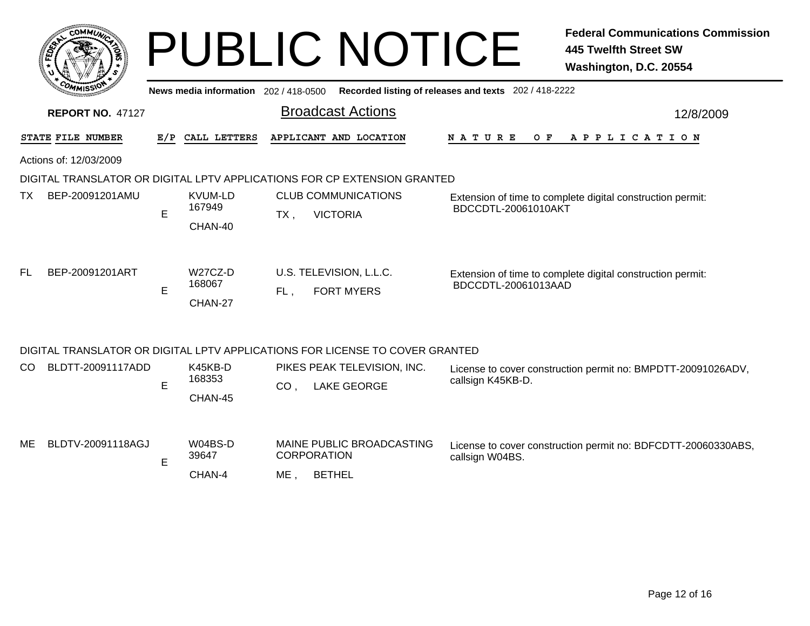|           |                         |   |                                     |                 | <b>PUBLIC NOTICE</b>                                                         |                                                       | <b>Federal Communications Commission</b><br><b>445 Twelfth Street SW</b><br>Washington, D.C. 20554 |
|-----------|-------------------------|---|-------------------------------------|-----------------|------------------------------------------------------------------------------|-------------------------------------------------------|----------------------------------------------------------------------------------------------------|
|           |                         |   | News media information 202/418-0500 |                 |                                                                              | Recorded listing of releases and texts 202 / 418-2222 |                                                                                                    |
|           | <b>REPORT NO. 47127</b> |   |                                     |                 | <b>Broadcast Actions</b>                                                     |                                                       | 12/8/2009                                                                                          |
|           | STATE FILE NUMBER       |   | E/P CALL LETTERS                    |                 | APPLICANT AND LOCATION                                                       | O F<br>N A T U R E                                    | A P P L I C A T I O N                                                                              |
|           | Actions of: 12/03/2009  |   |                                     |                 |                                                                              |                                                       |                                                                                                    |
|           |                         |   |                                     |                 | DIGITAL TRANSLATOR OR DIGITAL LPTV APPLICATIONS FOR CP EXTENSION GRANTED     |                                                       |                                                                                                    |
| TX.       | BEP-20091201AMU         | E | <b>KVUM-LD</b><br>167949<br>CHAN-40 | $TX$ ,          | <b>CLUB COMMUNICATIONS</b><br><b>VICTORIA</b>                                | BDCCDTL-20061010AKT                                   | Extension of time to complete digital construction permit:                                         |
| <b>FL</b> | BEP-20091201ART         | E | W27CZ-D<br>168067<br>CHAN-27        | FL,             | U.S. TELEVISION, L.L.C.<br><b>FORT MYERS</b>                                 | BDCCDTL-20061013AAD                                   | Extension of time to complete digital construction permit:                                         |
|           |                         |   |                                     |                 | DIGITAL TRANSLATOR OR DIGITAL LPTV APPLICATIONS FOR LICENSE TO COVER GRANTED |                                                       |                                                                                                    |
| CO.       | BLDTT-20091117ADD       | E | K45KB-D<br>168353<br>CHAN-45        | CO <sub>1</sub> | PIKES PEAK TELEVISION, INC.<br><b>LAKE GEORGE</b>                            | callsign K45KB-D.                                     | License to cover construction permit no: BMPDTT-20091026ADV,                                       |
| ME        | BLDTV-20091118AGJ       | Е | W04BS-D<br>39647<br>CHAN-4          | ME.             | MAINE PUBLIC BROADCASTING<br><b>CORPORATION</b><br><b>BETHEL</b>             | callsign W04BS.                                       | License to cover construction permit no: BDFCDTT-20060330ABS,                                      |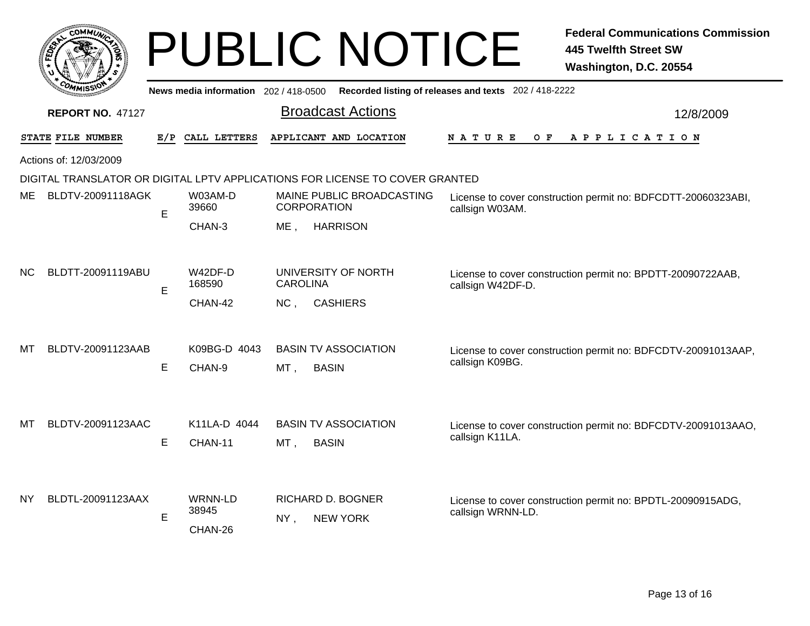|                   | CO.                               | MMUNICA      |  |
|-------------------|-----------------------------------|--------------|--|
| FED <sub>EY</sub> |                                   |              |  |
|                   |                                   |              |  |
|                   | $c_{O_{\textit{M}_{\textit{1}}}}$ | MISS'<br>--- |  |

|           | <b>COMMISSION</b><br>News media information 202 / 418-0500<br>Recorded listing of releases and texts 202 / 418-2222 |     |                                    |                                                                                                                                        |           |  |  |  |  |  |  |  |
|-----------|---------------------------------------------------------------------------------------------------------------------|-----|------------------------------------|----------------------------------------------------------------------------------------------------------------------------------------|-----------|--|--|--|--|--|--|--|
|           | <b>REPORT NO. 47127</b>                                                                                             |     |                                    | <b>Broadcast Actions</b>                                                                                                               | 12/8/2009 |  |  |  |  |  |  |  |
|           | STATE FILE NUMBER                                                                                                   | E/P | CALL LETTERS                       | APPLICANT AND LOCATION<br>N A T U R E<br>O F<br>A P P L I C A T I O N                                                                  |           |  |  |  |  |  |  |  |
|           | Actions of: 12/03/2009                                                                                              |     |                                    |                                                                                                                                        |           |  |  |  |  |  |  |  |
|           | DIGITAL TRANSLATOR OR DIGITAL LPTV APPLICATIONS FOR LICENSE TO COVER GRANTED                                        |     |                                    |                                                                                                                                        |           |  |  |  |  |  |  |  |
| ME        | BLDTV-20091118AGK                                                                                                   | E   | W03AM-D<br>39660                   | MAINE PUBLIC BROADCASTING<br>License to cover construction permit no: BDFCDTT-20060323ABI,<br><b>CORPORATION</b><br>callsign W03AM.    |           |  |  |  |  |  |  |  |
|           |                                                                                                                     |     | CHAN-3                             | <b>HARRISON</b><br>ME,                                                                                                                 |           |  |  |  |  |  |  |  |
| <b>NC</b> | BLDTT-20091119ABU                                                                                                   | Е   | W42DF-D<br>168590                  | UNIVERSITY OF NORTH<br>License to cover construction permit no: BPDTT-20090722AAB,<br><b>CAROLINA</b><br>callsign W42DF-D.             |           |  |  |  |  |  |  |  |
|           |                                                                                                                     |     | CHAN-42                            | NC,<br><b>CASHIERS</b>                                                                                                                 |           |  |  |  |  |  |  |  |
| MТ        | BLDTV-20091123AAB                                                                                                   | Е   | K09BG-D 4043<br>CHAN-9             | <b>BASIN TV ASSOCIATION</b><br>License to cover construction permit no: BDFCDTV-20091013AAP,<br>callsign K09BG.<br>MT,<br><b>BASIN</b> |           |  |  |  |  |  |  |  |
| MТ        | BLDTV-20091123AAC                                                                                                   | Е   | K11LA-D 4044<br>CHAN-11            | <b>BASIN TV ASSOCIATION</b><br>License to cover construction permit no: BDFCDTV-20091013AAO,<br>callsign K11LA.<br>MT,<br><b>BASIN</b> |           |  |  |  |  |  |  |  |
| <b>NY</b> | BLDTL-20091123AAX                                                                                                   | Е   | <b>WRNN-LD</b><br>38945<br>CHAN-26 | RICHARD D. BOGNER<br>License to cover construction permit no: BPDTL-20090915ADG,<br>callsign WRNN-LD.<br><b>NEW YORK</b><br>NY,        |           |  |  |  |  |  |  |  |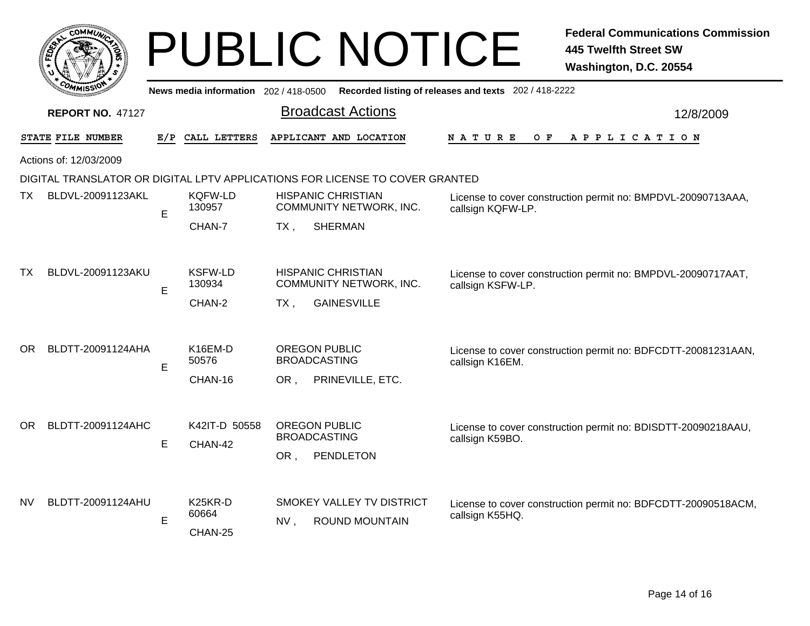| COMMUNI              |  |
|----------------------|--|
| FEDET                |  |
|                      |  |
| <b>COMMISS'</b><br>n |  |

| <b>PUBLIC NOTICE</b> | 445 Twelfth Street SW<br>Washington, D.C. 20554 |
|----------------------|-------------------------------------------------|
|----------------------|-------------------------------------------------|

|           | ั <i>ฑ</i> พเรจา<br>News media information 202/418-0500 Recorded listing of releases and texts 202/418-2222 |     |                                          |        |                                                                                                                                           |                                                                                   |  |  |  |  |  |
|-----------|-------------------------------------------------------------------------------------------------------------|-----|------------------------------------------|--------|-------------------------------------------------------------------------------------------------------------------------------------------|-----------------------------------------------------------------------------------|--|--|--|--|--|
|           | <b>REPORT NO. 47127</b>                                                                                     |     |                                          |        | <b>Broadcast Actions</b>                                                                                                                  | 12/8/2009                                                                         |  |  |  |  |  |
|           | STATE FILE NUMBER                                                                                           | E/P | CALL LETTERS                             |        | APPLICANT AND LOCATION                                                                                                                    | APPLICATION<br><b>NATURE</b><br>O F                                               |  |  |  |  |  |
|           | Actions of: 12/03/2009                                                                                      |     |                                          |        |                                                                                                                                           |                                                                                   |  |  |  |  |  |
|           | DIGITAL TRANSLATOR OR DIGITAL LPTV APPLICATIONS FOR LICENSE TO COVER GRANTED                                |     |                                          |        |                                                                                                                                           |                                                                                   |  |  |  |  |  |
| TX.       | BLDVL-20091123AKL                                                                                           | E   | KQFW-LD<br>130957                        |        | <b>HISPANIC CHRISTIAN</b><br>License to cover construction permit no: BMPDVL-20090713AAA,<br>COMMUNITY NETWORK, INC.<br>callsign KQFW-LP. |                                                                                   |  |  |  |  |  |
|           |                                                                                                             |     | CHAN-7                                   | $TX$ , | <b>SHERMAN</b>                                                                                                                            |                                                                                   |  |  |  |  |  |
| TX        | BLDVL-20091123AKU                                                                                           | E   | <b>KSFW-LD</b><br>130934<br>CHAN-2       | TX.    | <b>HISPANIC CHRISTIAN</b><br>COMMUNITY NETWORK, INC.<br><b>GAINESVILLE</b>                                                                | License to cover construction permit no: BMPDVL-20090717AAT,<br>callsign KSFW-LP. |  |  |  |  |  |
| OR.       | BLDTT-20091124AHA                                                                                           | Е   | K <sub>16</sub> EM-D<br>50576<br>CHAN-16 | OR,    | <b>OREGON PUBLIC</b><br><b>BROADCASTING</b><br>PRINEVILLE, ETC.                                                                           | License to cover construction permit no: BDFCDTT-20081231AAN,<br>callsign K16EM.  |  |  |  |  |  |
| OR.       | BLDTT-20091124AHC                                                                                           | E   | K42IT-D 50558<br>CHAN-42                 | OR,    | <b>OREGON PUBLIC</b><br><b>BROADCASTING</b><br>PENDLETON                                                                                  | License to cover construction permit no: BDISDTT-20090218AAU,<br>callsign K59BO.  |  |  |  |  |  |
| <b>NV</b> | BLDTT-20091124AHU                                                                                           | Е   | K25KR-D<br>60664<br>CHAN-25              | NV,    | SMOKEY VALLEY TV DISTRICT<br><b>ROUND MOUNTAIN</b>                                                                                        | License to cover construction permit no: BDFCDTT-20090518ACM,<br>callsign K55HQ.  |  |  |  |  |  |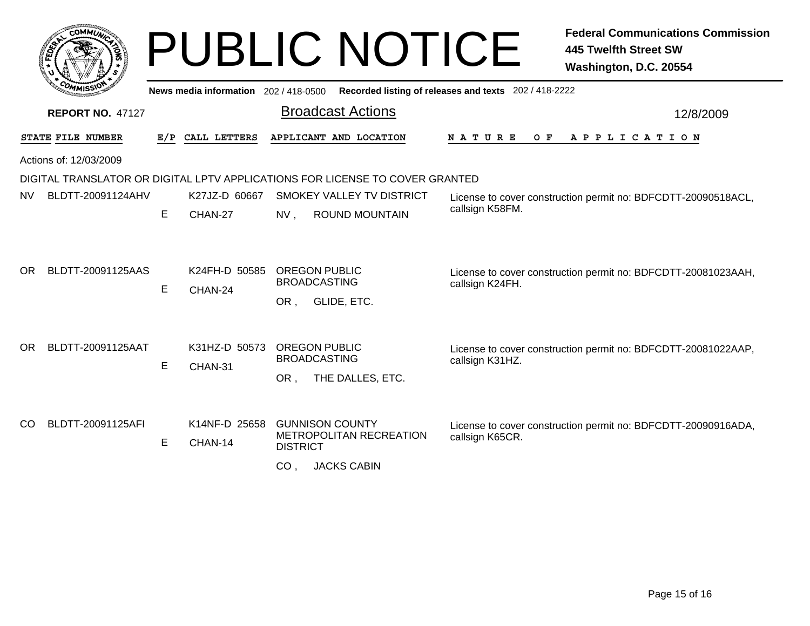|           | соммы                   |     |                                        |                                                       | <b>PUBLIC NOTICE</b>                                                         |                      | <b>Federal Communications Commission</b><br><b>445 Twelfth Street SW</b><br>Washington, D.C. 20554 |
|-----------|-------------------------|-----|----------------------------------------|-------------------------------------------------------|------------------------------------------------------------------------------|----------------------|----------------------------------------------------------------------------------------------------|
|           |                         |     | News media information 202 / 418-0500  | Recorded listing of releases and texts 202 / 418-2222 |                                                                              |                      |                                                                                                    |
|           | <b>REPORT NO. 47127</b> |     |                                        |                                                       | <b>Broadcast Actions</b>                                                     |                      | 12/8/2009                                                                                          |
|           | STATE FILE NUMBER       | E/P | CALL LETTERS                           |                                                       | APPLICANT AND LOCATION                                                       | <b>NATURE</b><br>O F | APPLICATION                                                                                        |
|           | Actions of: 12/03/2009  |     |                                        |                                                       |                                                                              |                      |                                                                                                    |
|           |                         |     |                                        |                                                       | DIGITAL TRANSLATOR OR DIGITAL LPTV APPLICATIONS FOR LICENSE TO COVER GRANTED |                      |                                                                                                    |
| <b>NV</b> | BLDTT-20091124AHV       |     | K27JZ-D 60667                          |                                                       | SMOKEY VALLEY TV DISTRICT                                                    |                      | License to cover construction permit no: BDFCDTT-20090518ACL,                                      |
|           |                         | E   | CHAN-27                                | $NV$ ,                                                | <b>ROUND MOUNTAIN</b>                                                        | callsign K58FM.      |                                                                                                    |
| OR.       | BLDTT-20091125AAS       | E.  | K24FH-D 50585 OREGON PUBLIC<br>CHAN-24 | OR,                                                   | <b>BROADCASTING</b><br>GLIDE, ETC.                                           | callsign K24FH.      | License to cover construction permit no: BDFCDTT-20081023AAH,                                      |
| <b>OR</b> | BLDTT-20091125AAT       |     | K31HZ-D 50573 OREGON PUBLIC            |                                                       |                                                                              |                      | License to cover construction permit no: BDFCDTT-20081022AAP,                                      |
|           |                         | E   | CHAN-31                                |                                                       | <b>BROADCASTING</b>                                                          | callsign K31HZ.      |                                                                                                    |
| CO.       | BLDTT-20091125AFI       | E.  | K14NF-D 25658<br>CHAN-14               | OR.<br><b>DISTRICT</b>                                | THE DALLES, ETC.<br><b>GUNNISON COUNTY</b><br><b>METROPOLITAN RECREATION</b> | callsign K65CR.      | License to cover construction permit no: BDFCDTT-20090916ADA,                                      |
|           |                         |     |                                        | CO <sub>1</sub>                                       | <b>JACKS CABIN</b>                                                           |                      |                                                                                                    |
|           |                         |     |                                        |                                                       |                                                                              |                      |                                                                                                    |